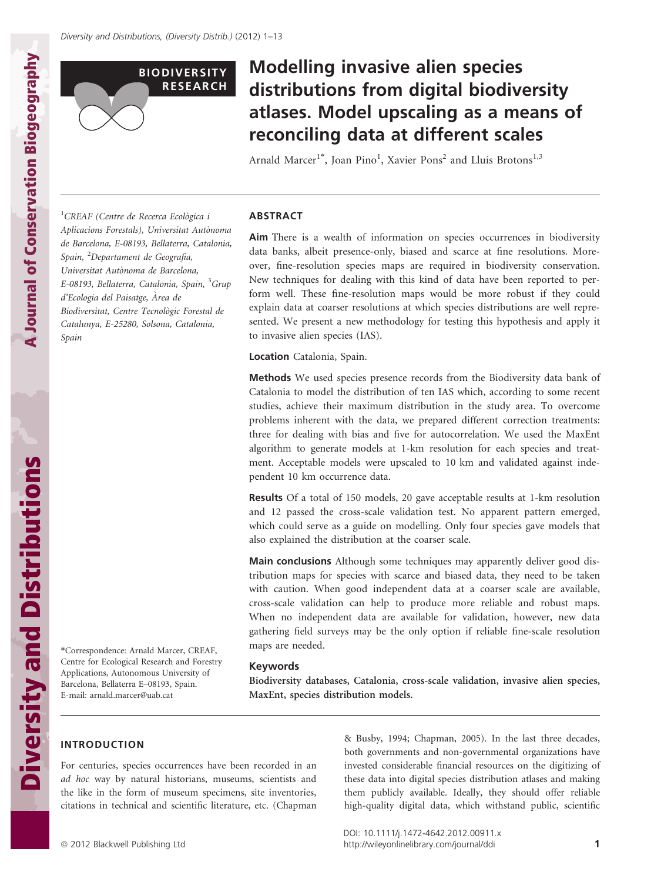

# Modelling invasive alien species distributions from digital biodiversity atlases. Model upscaling as a means of reconciling data at different scales

Arnald Marcer<sup>1\*</sup>, Joan Pino<sup>1</sup>, Xavier Pons<sup>2</sup> and Lluís Brotons<sup>1,3</sup>

<sup>1</sup>CREAF (Centre de Recerca Ecològica i Aplicacions Forestals), Universitat Autònoma de Barcelona, E-08193, Bellaterra, Catalonia, Spain, <sup>2</sup>Departament de Geografia, Universitat Autònoma de Barcelona, E-08193, Bellaterra, Catalonia, Spain, <sup>3</sup>Grup d'Ecologia del Paisatge, Àrea de Biodiversitat, Centre Tecnològic Forestal de Catalunya, E-25280, Solsona, Catalonia, Spain

## ABSTRACT

Aim There is a wealth of information on species occurrences in biodiversity data banks, albeit presence-only, biased and scarce at fine resolutions. Moreover, fine-resolution species maps are required in biodiversity conservation. New techniques for dealing with this kind of data have been reported to perform well. These fine-resolution maps would be more robust if they could explain data at coarser resolutions at which species distributions are well represented. We present a new methodology for testing this hypothesis and apply it to invasive alien species (IAS).

Location Catalonia, Spain.

Methods We used species presence records from the Biodiversity data bank of Catalonia to model the distribution of ten IAS which, according to some recent studies, achieve their maximum distribution in the study area. To overcome problems inherent with the data, we prepared different correction treatments: three for dealing with bias and five for autocorrelation. We used the MaxEnt algorithm to generate models at 1-km resolution for each species and treatment. Acceptable models were upscaled to 10 km and validated against independent 10 km occurrence data.

Results Of a total of 150 models, 20 gave acceptable results at 1-km resolution and 12 passed the cross-scale validation test. No apparent pattern emerged, which could serve as a guide on modelling. Only four species gave models that also explained the distribution at the coarser scale.

Main conclusions Although some techniques may apparently deliver good distribution maps for species with scarce and biased data, they need to be taken with caution. When good independent data at a coarser scale are available, cross-scale validation can help to produce more reliable and robust maps. When no independent data are available for validation, however, new data gathering field surveys may be the only option if reliable fine-scale resolution maps are needed.

# Keywords

Biodiversity databases, Catalonia, cross-scale validation, invasive alien species, MaxEnt, species distribution models.

INTRODUCTION

For centuries, species occurrences have been recorded in an ad hoc way by natural historians, museums, scientists and the like in the form of museum specimens, site inventories, citations in technical and scientific literature, etc. (Chapman & Busby, 1994; Chapman, 2005). In the last three decades, both governments and non-governmental organizations have invested considerable financial resources on the digitizing of these data into digital species distribution atlases and making them publicly available. Ideally, they should offer reliable high-quality digital data, which withstand public, scientific

A Journal of Conservation Biogeography

A Journal of Conservation Biogeography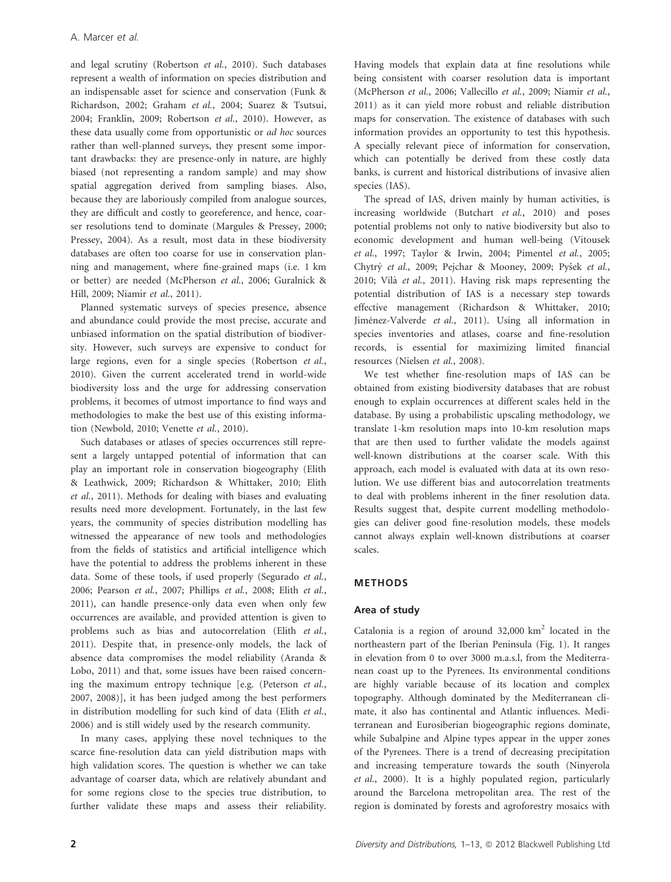and legal scrutiny (Robertson et al., 2010). Such databases represent a wealth of information on species distribution and an indispensable asset for science and conservation (Funk & Richardson, 2002; Graham et al., 2004; Suarez & Tsutsui, 2004; Franklin, 2009; Robertson et al., 2010). However, as these data usually come from opportunistic or ad hoc sources rather than well-planned surveys, they present some important drawbacks: they are presence-only in nature, are highly biased (not representing a random sample) and may show spatial aggregation derived from sampling biases. Also, because they are laboriously compiled from analogue sources, they are difficult and costly to georeference, and hence, coarser resolutions tend to dominate (Margules & Pressey, 2000; Pressey, 2004). As a result, most data in these biodiversity databases are often too coarse for use in conservation planning and management, where fine-grained maps (i.e. 1 km or better) are needed (McPherson et al., 2006; Guralnick & Hill, 2009; Niamir et al., 2011).

Planned systematic surveys of species presence, absence and abundance could provide the most precise, accurate and unbiased information on the spatial distribution of biodiversity. However, such surveys are expensive to conduct for large regions, even for a single species (Robertson et al., 2010). Given the current accelerated trend in world-wide biodiversity loss and the urge for addressing conservation problems, it becomes of utmost importance to find ways and methodologies to make the best use of this existing information (Newbold, 2010; Venette et al., 2010).

Such databases or atlases of species occurrences still represent a largely untapped potential of information that can play an important role in conservation biogeography (Elith & Leathwick, 2009; Richardson & Whittaker, 2010; Elith et al., 2011). Methods for dealing with biases and evaluating results need more development. Fortunately, in the last few years, the community of species distribution modelling has witnessed the appearance of new tools and methodologies from the fields of statistics and artificial intelligence which have the potential to address the problems inherent in these data. Some of these tools, if used properly (Segurado et al., 2006; Pearson et al., 2007; Phillips et al., 2008; Elith et al., 2011), can handle presence-only data even when only few occurrences are available, and provided attention is given to problems such as bias and autocorrelation (Elith et al., 2011). Despite that, in presence-only models, the lack of absence data compromises the model reliability (Aranda & Lobo, 2011) and that, some issues have been raised concerning the maximum entropy technique [e.g. (Peterson et al., 2007, 2008)], it has been judged among the best performers in distribution modelling for such kind of data (Elith et al., 2006) and is still widely used by the research community.

In many cases, applying these novel techniques to the scarce fine-resolution data can yield distribution maps with high validation scores. The question is whether we can take advantage of coarser data, which are relatively abundant and for some regions close to the species true distribution, to further validate these maps and assess their reliability. Having models that explain data at fine resolutions while being consistent with coarser resolution data is important (McPherson et al., 2006; Vallecillo et al., 2009; Niamir et al., 2011) as it can yield more robust and reliable distribution maps for conservation. The existence of databases with such information provides an opportunity to test this hypothesis. A specially relevant piece of information for conservation, which can potentially be derived from these costly data banks, is current and historical distributions of invasive alien species (IAS).

The spread of IAS, driven mainly by human activities, is increasing worldwide (Butchart et al., 2010) and poses potential problems not only to native biodiversity but also to economic development and human well-being (Vitousek et al., 1997; Taylor & Irwin, 2004; Pimentel et al., 2005; Chytrý et al., 2009; Pejchar & Mooney, 2009; Pyšek et al., 2010; Vilà et al., 2011). Having risk maps representing the potential distribution of IAS is a necessary step towards effective management (Richardson & Whittaker, 2010; Jiménez-Valverde et al., 2011). Using all information in species inventories and atlases, coarse and fine-resolution records, is essential for maximizing limited financial resources (Nielsen et al., 2008).

We test whether fine-resolution maps of IAS can be obtained from existing biodiversity databases that are robust enough to explain occurrences at different scales held in the database. By using a probabilistic upscaling methodology, we translate 1-km resolution maps into 10-km resolution maps that are then used to further validate the models against well-known distributions at the coarser scale. With this approach, each model is evaluated with data at its own resolution. We use different bias and autocorrelation treatments to deal with problems inherent in the finer resolution data. Results suggest that, despite current modelling methodologies can deliver good fine-resolution models, these models cannot always explain well-known distributions at coarser scales.

# METHODS

# Area of study

Catalonia is a region of around  $32,000$  km<sup>2</sup> located in the northeastern part of the Iberian Peninsula (Fig. 1). It ranges in elevation from 0 to over 3000 m.a.s.l, from the Mediterranean coast up to the Pyrenees. Its environmental conditions are highly variable because of its location and complex topography. Although dominated by the Mediterranean climate, it also has continental and Atlantic influences. Mediterranean and Eurosiberian biogeographic regions dominate, while Subalpine and Alpine types appear in the upper zones of the Pyrenees. There is a trend of decreasing precipitation and increasing temperature towards the south (Ninyerola et al., 2000). It is a highly populated region, particularly around the Barcelona metropolitan area. The rest of the region is dominated by forests and agroforestry mosaics with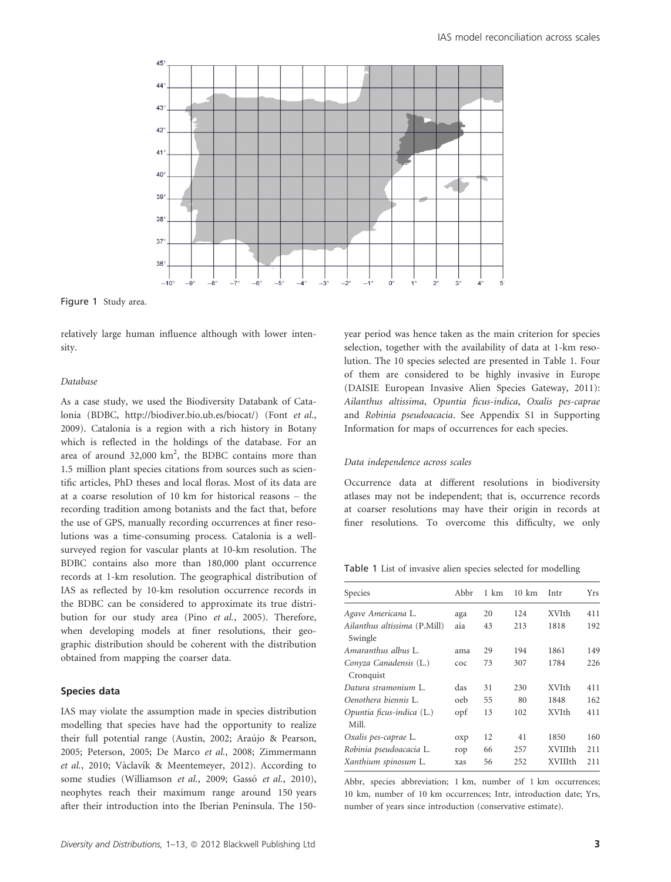

Figure 1 Study area.

relatively large human influence although with lower intensity.

#### Database

As a case study, we used the Biodiversity Databank of Catalonia (BDBC, http://biodiver.bio.ub.es/biocat/) (Font et al., 2009). Catalonia is a region with a rich history in Botany which is reflected in the holdings of the database. For an area of around  $32,000 \text{ km}^2$ , the BDBC contains more than 1.5 million plant species citations from sources such as scientific articles, PhD theses and local floras. Most of its data are at a coarse resolution of 10 km for historical reasons – the recording tradition among botanists and the fact that, before the use of GPS, manually recording occurrences at finer resolutions was a time-consuming process. Catalonia is a wellsurveyed region for vascular plants at 10-km resolution. The BDBC contains also more than 180,000 plant occurrence records at 1-km resolution. The geographical distribution of IAS as reflected by 10-km resolution occurrence records in the BDBC can be considered to approximate its true distribution for our study area (Pino et al., 2005). Therefore, when developing models at finer resolutions, their geographic distribution should be coherent with the distribution obtained from mapping the coarser data.

# Species data

IAS may violate the assumption made in species distribution modelling that species have had the opportunity to realize their full potential range (Austin, 2002; Araújo & Pearson, 2005; Peterson, 2005; De Marco et al., 2008; Zimmermann et al., 2010; Vàclavík & Meentemeyer, 2012). According to some studies (Williamson et al., 2009; Gassó et al., 2010), neophytes reach their maximum range around 150 years after their introduction into the Iberian Peninsula. The 150year period was hence taken as the main criterion for species selection, together with the availability of data at 1-km resolution. The 10 species selected are presented in Table 1. Four of them are considered to be highly invasive in Europe (DAISIE European Invasive Alien Species Gateway, 2011): Ailanthus altissima, Opuntia ficus-indica, Oxalis pes-caprae and Robinia pseudoacacia. See Appendix S1 in Supporting Information for maps of occurrences for each species.

#### Data independence across scales

Occurrence data at different resolutions in biodiversity atlases may not be independent; that is, occurrence records at coarser resolutions may have their origin in records at finer resolutions. To overcome this difficulty, we only

Table 1 List of invasive alien species selected for modelling

| Species                                 | Abbr       | 1 km | $10 \; \mathrm{km}$ | Intr           | <b>Yrs</b> |
|-----------------------------------------|------------|------|---------------------|----------------|------------|
| Agave Americana L.                      | aga        | 20   | 124                 | <b>XVIth</b>   | 411        |
| Ailanthus altissima (P.Mill)<br>Swingle | aia        | 43   | 213                 | 1818           | 192        |
| Amaranthus albus L.                     | ama        | 29   | 194                 | 1861           | 149        |
| Conyza Canadensis (L.)<br>Cronquist     | $\rm{coc}$ | 73   | 307                 | 1784           | 226        |
| Datura stramonium L.                    | das        | 31   | 230                 | <b>XVIth</b>   | 411        |
| Oenothera biennis L.                    | oeb        | 55   | 80                  | 1848           | 162        |
| Opuntia ficus-indica (L.)<br>Mill.      | opf        | 13   | 102                 | <b>XVIth</b>   | 411        |
| Oxalis pes-caprae L.                    | oxp        | 12   | 41                  | 1850           | 160        |
| Robinia pseudoacacia L.                 | rop        | 66   | 257                 | <b>XVIIIth</b> | 211        |
| Xanthium spinosum L.                    | xas        | 56   | 252                 | XVIIIth        | 211        |

Abbr, species abbreviation; 1 km, number of 1 km occurrences; 10 km, number of 10 km occurrences; Intr, introduction date; Yrs, number of years since introduction (conservative estimate).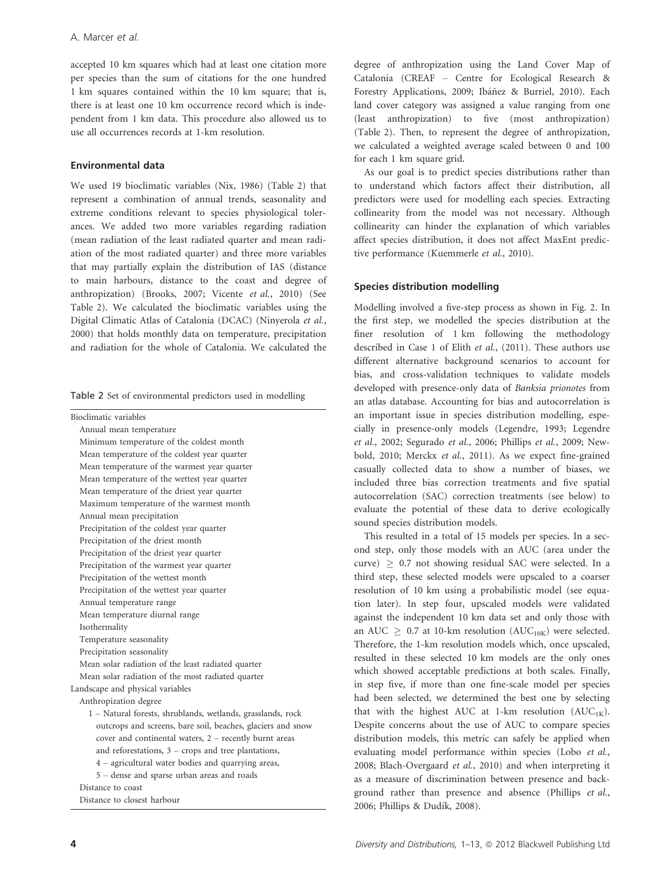accepted 10 km squares which had at least one citation more per species than the sum of citations for the one hundred 1 km squares contained within the 10 km square; that is, there is at least one 10 km occurrence record which is independent from 1 km data. This procedure also allowed us to use all occurrences records at 1-km resolution.

## Environmental data

We used 19 bioclimatic variables (Nix, 1986) (Table 2) that represent a combination of annual trends, seasonality and extreme conditions relevant to species physiological tolerances. We added two more variables regarding radiation (mean radiation of the least radiated quarter and mean radiation of the most radiated quarter) and three more variables that may partially explain the distribution of IAS (distance to main harbours, distance to the coast and degree of anthropization) (Brooks, 2007; Vicente et al., 2010) (See Table 2). We calculated the bioclimatic variables using the Digital Climatic Atlas of Catalonia (DCAC) (Ninyerola et al., 2000) that holds monthly data on temperature, precipitation and radiation for the whole of Catalonia. We calculated the

|  | Table 2 Set of environmental predictors used in modelling |  |  |  |
|--|-----------------------------------------------------------|--|--|--|
|  |                                                           |  |  |  |

Bioclimatic variables

Annual mean temperature Minimum temperature of the coldest month Mean temperature of the coldest year quarter Mean temperature of the warmest year quarter Mean temperature of the wettest year quarter Mean temperature of the driest year quarter Maximum temperature of the warmest month Annual mean precipitation Precipitation of the coldest year quarter Precipitation of the driest month Precipitation of the driest year quarter Precipitation of the warmest year quarter Precipitation of the wettest month Precipitation of the wettest year quarter Annual temperature range Mean temperature diurnal range Isothermality Temperature seasonality Precipitation seasonality Mean solar radiation of the least radiated quarter Mean solar radiation of the most radiated quarter Landscape and physical variables Anthropization degree 1 – Natural forests, shrublands, wetlands, grasslands, rock outcrops and screens, bare soil, beaches, glaciers and snow cover and continental waters, 2 – recently burnt areas and reforestations, 3 – crops and tree plantations, 4 – agricultural water bodies and quarrying areas, 5 – dense and sparse urban areas and roads Distance to coast Distance to closest harbour

degree of anthropization using the Land Cover Map of Catalonia (CREAF – Centre for Ecological Research & Forestry Applications, 2009; Ibáñez & Burriel, 2010). Each land cover category was assigned a value ranging from one (least anthropization) to five (most anthropization) (Table 2). Then, to represent the degree of anthropization, we calculated a weighted average scaled between 0 and 100 for each 1 km square grid.

As our goal is to predict species distributions rather than to understand which factors affect their distribution, all predictors were used for modelling each species. Extracting collinearity from the model was not necessary. Although collinearity can hinder the explanation of which variables affect species distribution, it does not affect MaxEnt predictive performance (Kuemmerle et al., 2010).

#### Species distribution modelling

Modelling involved a five-step process as shown in Fig. 2. In the first step, we modelled the species distribution at the finer resolution of 1 km following the methodology described in Case 1 of Elith et al., (2011). These authors use different alternative background scenarios to account for bias, and cross-validation techniques to validate models developed with presence-only data of Banksia prionotes from an atlas database. Accounting for bias and autocorrelation is an important issue in species distribution modelling, especially in presence-only models (Legendre, 1993; Legendre et al., 2002; Segurado et al., 2006; Phillips et al., 2009; Newbold, 2010; Merckx et al., 2011). As we expect fine-grained casually collected data to show a number of biases, we included three bias correction treatments and five spatial autocorrelation (SAC) correction treatments (see below) to evaluate the potential of these data to derive ecologically sound species distribution models.

This resulted in a total of 15 models per species. In a second step, only those models with an AUC (area under the curve)  $\geq$  0.7 not showing residual SAC were selected. In a third step, these selected models were upscaled to a coarser resolution of 10 km using a probabilistic model (see equation later). In step four, upscaled models were validated against the independent 10 km data set and only those with an AUC  $\geq 0.7$  at 10-km resolution (AUC<sub>10K</sub>) were selected. Therefore, the 1-km resolution models which, once upscaled, resulted in these selected 10 km models are the only ones which showed acceptable predictions at both scales. Finally, in step five, if more than one fine-scale model per species had been selected, we determined the best one by selecting that with the highest AUC at 1-km resolution ( $AUC_{1K}$ ). Despite concerns about the use of AUC to compare species distribution models, this metric can safely be applied when evaluating model performance within species (Lobo et al., 2008; Blach-Overgaard et al., 2010) and when interpreting it as a measure of discrimination between presence and background rather than presence and absence (Phillips et al., 2006; Phillips & Dudík, 2008).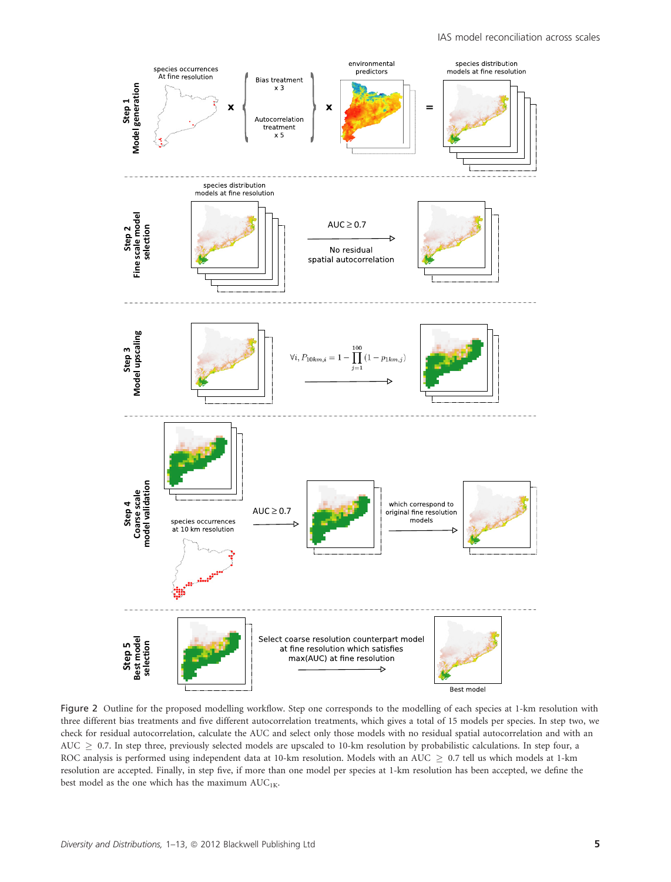

Figure 2 Outline for the proposed modelling workflow. Step one corresponds to the modelling of each species at 1-km resolution with three different bias treatments and five different autocorrelation treatments, which gives a total of 15 models per species. In step two, we check for residual autocorrelation, calculate the AUC and select only those models with no residual spatial autocorrelation and with an  $AUC \geq 0.7$ . In step three, previously selected models are upscaled to 10-km resolution by probabilistic calculations. In step four, a ROC analysis is performed using independent data at 10-km resolution. Models with an AUC  $\geq$  0.7 tell us which models at 1-km resolution are accepted. Finally, in step five, if more than one model per species at 1-km resolution has been accepted, we define the best model as the one which has the maximum  $AUC_{1K}$ .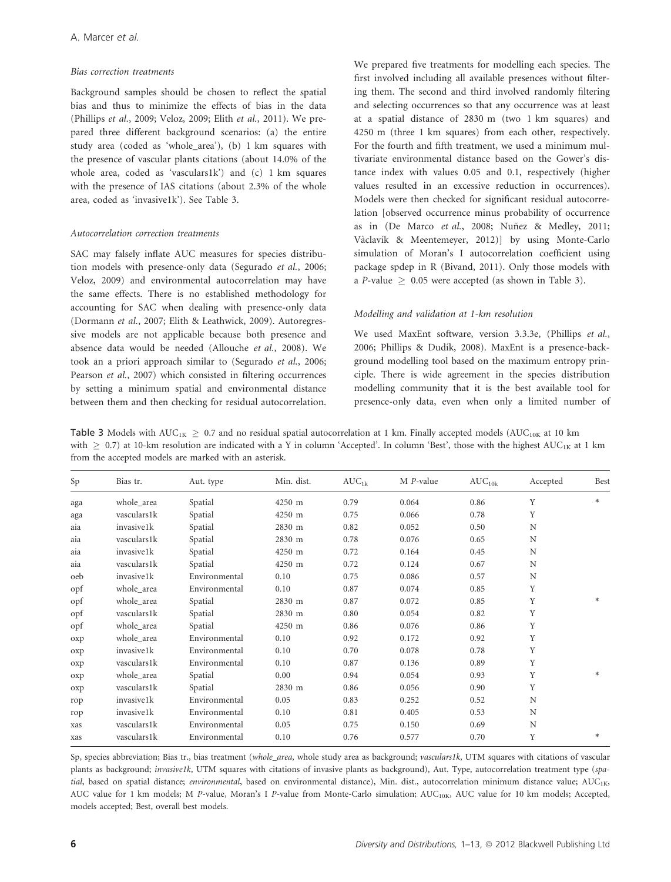#### Bias correction treatments

Background samples should be chosen to reflect the spatial bias and thus to minimize the effects of bias in the data (Phillips et al., 2009; Veloz, 2009; Elith et al., 2011). We prepared three different background scenarios: (a) the entire study area (coded as 'whole\_area'), (b) 1 km squares with the presence of vascular plants citations (about 14.0% of the whole area, coded as 'vasculars1k') and (c) 1 km squares with the presence of IAS citations (about 2.3% of the whole area, coded as 'invasive1k'). See Table 3.

#### Autocorrelation correction treatments

SAC may falsely inflate AUC measures for species distribution models with presence-only data (Segurado et al., 2006; Veloz, 2009) and environmental autocorrelation may have the same effects. There is no established methodology for accounting for SAC when dealing with presence-only data (Dormann et al., 2007; Elith & Leathwick, 2009). Autoregressive models are not applicable because both presence and absence data would be needed (Allouche et al., 2008). We took an a priori approach similar to (Segurado et al., 2006; Pearson et al., 2007) which consisted in filtering occurrences by setting a minimum spatial and environmental distance between them and then checking for residual autocorrelation.

We prepared five treatments for modelling each species. The first involved including all available presences without filtering them. The second and third involved randomly filtering and selecting occurrences so that any occurrence was at least at a spatial distance of 2830 m (two 1 km squares) and 4250 m (three 1 km squares) from each other, respectively. For the fourth and fifth treatment, we used a minimum multivariate environmental distance based on the Gower's distance index with values 0.05 and 0.1, respectively (higher values resulted in an excessive reduction in occurrences). Models were then checked for significant residual autocorrelation [observed occurrence minus probability of occurrence as in (De Marco et al., 2008; Nuñez & Medley, 2011; Vàclavík & Meentemeyer, 2012)] by using Monte-Carlo simulation of Moran's I autocorrelation coefficient using package spdep in R (Bivand, 2011). Only those models with a P-value  $\geq 0.05$  were accepted (as shown in Table 3).

#### Modelling and validation at 1-km resolution

We used MaxEnt software, version 3.3.3e, (Phillips et al., 2006; Phillips & Dudík, 2008). MaxEnt is a presence-background modelling tool based on the maximum entropy principle. There is wide agreement in the species distribution modelling community that it is the best available tool for presence-only data, even when only a limited number of

Table 3 Models with AUC<sub>1K</sub>  $\geq 0.7$  and no residual spatial autocorrelation at 1 km. Finally accepted models (AUC<sub>10K</sub> at 10 km with  $\geq$  0.7) at 10-km resolution are indicated with a Y in column 'Accepted'. In column 'Best', those with the highest AUC<sub>1K</sub> at 1 km from the accepted models are marked with an asterisk.

| Sp     | Bias tr.          | Aut. type     | Min. dist. | $AUC_{1k}$ | M P-value | $AUC_{10k}$ | Accepted    | <b>Best</b> |
|--------|-------------------|---------------|------------|------------|-----------|-------------|-------------|-------------|
| aga    | whole_area        | Spatial       | 4250 m     | 0.79       | 0.064     | 0.86        | Y           | $*$         |
| aga    | vasculars1k       | Spatial       | 4250 m     | 0.75       | 0.066     | 0.78        | Y           |             |
| aia    | invasive1k        | Spatial       | 2830 m     | 0.82       | 0.052     | 0.50        | N           |             |
| aia    | vasculars1k       | Spatial       | 2830 m     | 0.78       | 0.076     | 0.65        | $\mathbf N$ |             |
| aia    | <i>invasivelk</i> | Spatial       | 4250 m     | 0.72       | 0.164     | 0.45        | N           |             |
| aia    | vasculars1k       | Spatial       | 4250 m     | 0.72       | 0.124     | 0.67        | $\rm N$     |             |
| oeb    | invasive1k        | Environmental | 0.10       | 0.75       | 0.086     | 0.57        | $\mathbf N$ |             |
| opf    | whole_area        | Environmental | 0.10       | 0.87       | 0.074     | 0.85        | Y           |             |
| opf    | whole_area        | Spatial       | 2830 m     | 0.87       | 0.072     | 0.85        | Y           | $*$         |
| opf    | vasculars1k       | Spatial       | 2830 m     | 0.80       | 0.054     | 0.82        | Y           |             |
| opf    | whole_area        | Spatial       | 4250 m     | 0.86       | 0.076     | 0.86        | Y           |             |
| OXP    | whole_area        | Environmental | 0.10       | 0.92       | 0.172     | 0.92        | Y           |             |
| $\exp$ | invasivelk        | Environmental | 0.10       | 0.70       | 0.078     | 0.78        | Y           |             |
| OXP    | vasculars1k       | Environmental | 0.10       | 0.87       | 0.136     | 0.89        | Y           |             |
| $\exp$ | whole_area        | Spatial       | 0.00       | 0.94       | 0.054     | 0.93        | Y           | *           |
| $\exp$ | vasculars1k       | Spatial       | 2830 m     | 0.86       | 0.056     | 0.90        | Y           |             |
| rop    | invasive1k        | Environmental | 0.05       | 0.83       | 0.252     | 0.52        | N           |             |
| rop    | invasive1k        | Environmental | 0.10       | 0.81       | 0.405     | 0.53        | $\mathbf N$ |             |
| xas    | vasculars1k       | Environmental | 0.05       | 0.75       | 0.150     | 0.69        | N           |             |
| xas    | vasculars1k       | Environmental | 0.10       | 0.76       | 0.577     | 0.70        | Y           | $*$         |

Sp, species abbreviation; Bias tr., bias treatment (whole\_area, whole study area as background; vasculars1k, UTM squares with citations of vascular plants as background; invasive1k, UTM squares with citations of invasive plants as background), Aut. Type, autocorrelation treatment type (spatial, based on spatial distance; environmental, based on environmental distance), Min. dist., autocorrelation minimum distance value; AUC<sub>1K</sub>, AUC value for 1 km models; M P-value, Moran's I P-value from Monte-Carlo simulation; AUC<sub>10K</sub>, AUC value for 10 km models; Accepted, models accepted; Best, overall best models.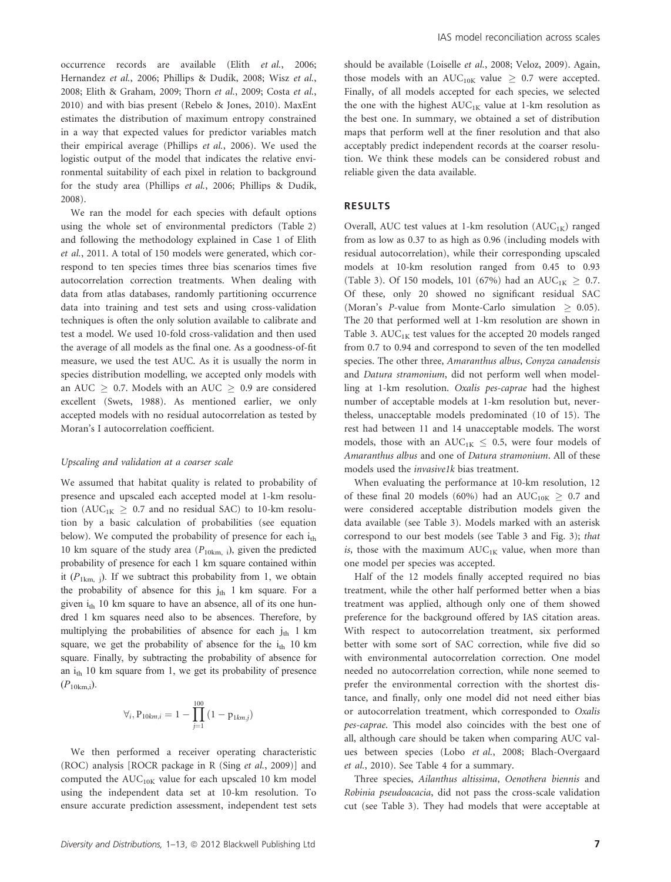occurrence records are available (Elith et al., 2006; Hernandez et al., 2006; Phillips & Dudík, 2008; Wisz et al., 2008; Elith & Graham, 2009; Thorn et al., 2009; Costa et al., 2010) and with bias present (Rebelo & Jones, 2010). MaxEnt estimates the distribution of maximum entropy constrained in a way that expected values for predictor variables match their empirical average (Phillips et al., 2006). We used the logistic output of the model that indicates the relative environmental suitability of each pixel in relation to background for the study area (Phillips et al., 2006; Phillips & Dudík, 2008).

We ran the model for each species with default options using the whole set of environmental predictors (Table 2) and following the methodology explained in Case 1 of Elith et al., 2011. A total of 150 models were generated, which correspond to ten species times three bias scenarios times five autocorrelation correction treatments. When dealing with data from atlas databases, randomly partitioning occurrence data into training and test sets and using cross-validation techniques is often the only solution available to calibrate and test a model. We used 10-fold cross-validation and then used the average of all models as the final one. As a goodness-of-fit measure, we used the test AUC. As it is usually the norm in species distribution modelling, we accepted only models with an AUC  $\geq$  0.7. Models with an AUC  $\geq$  0.9 are considered excellent (Swets, 1988). As mentioned earlier, we only accepted models with no residual autocorrelation as tested by Moran's I autocorrelation coefficient.

#### Upscaling and validation at a coarser scale

We assumed that habitat quality is related to probability of presence and upscaled each accepted model at 1-km resolution (AUC<sub>1K</sub>  $\geq$  0.7 and no residual SAC) to 10-km resolution by a basic calculation of probabilities (see equation below). We computed the probability of presence for each  $i_{th}$ 10 km square of the study area  $(P_{10km, i})$ , given the predicted probability of presence for each 1 km square contained within it  $(P_{1km, i})$ . If we subtract this probability from 1, we obtain the probability of absence for this  $j<sub>th</sub>$  1 km square. For a given  $i_{th}$  10 km square to have an absence, all of its one hundred 1 km squares need also to be absences. Therefore, by multiplying the probabilities of absence for each  $j_{th}$  1 km square, we get the probability of absence for the  $i_{th}$  10 km square. Finally, by subtracting the probability of absence for an  $i_{th}$  10 km square from 1, we get its probability of presence  $(P_{10km,i})$ .

$$
\forall_{i}, P_{10km,i} = 1 - \prod_{j=1}^{100} (1 - p_{1km,j})
$$

We then performed a receiver operating characteristic (ROC) analysis [ROCR package in R (Sing et al., 2009)] and computed the  $AUC_{10K}$  value for each upscaled 10 km model using the independent data set at 10-km resolution. To ensure accurate prediction assessment, independent test sets

should be available (Loiselle et al., 2008; Veloz, 2009). Again, those models with an AUC<sub>10K</sub> value  $\geq$  0.7 were accepted. Finally, of all models accepted for each species, we selected the one with the highest  $AUC_{1K}$  value at 1-km resolution as the best one. In summary, we obtained a set of distribution maps that perform well at the finer resolution and that also acceptably predict independent records at the coarser resolution. We think these models can be considered robust and reliable given the data available.

## RESULTS

Overall, AUC test values at 1-km resolution  $(AUC_{1K})$  ranged from as low as 0.37 to as high as 0.96 (including models with residual autocorrelation), while their corresponding upscaled models at 10-km resolution ranged from 0.45 to 0.93 (Table 3). Of 150 models, 101 (67%) had an AUC<sub>1K</sub>  $\geq$  0.7. Of these, only 20 showed no significant residual SAC (Moran's P-value from Monte-Carlo simulation  $> 0.05$ ). The 20 that performed well at 1-km resolution are shown in Table 3.  $AUC_{1K}$  test values for the accepted 20 models ranged from 0.7 to 0.94 and correspond to seven of the ten modelled species. The other three, Amaranthus albus, Conyza canadensis and Datura stramonium, did not perform well when modelling at 1-km resolution. Oxalis pes-caprae had the highest number of acceptable models at 1-km resolution but, nevertheless, unacceptable models predominated (10 of 15). The rest had between 11 and 14 unacceptable models. The worst models, those with an  $AUC_{1K} \leq 0.5$ , were four models of Amaranthus albus and one of Datura stramonium. All of these models used the invasive1k bias treatment.

When evaluating the performance at 10-km resolution, 12 of these final 20 models (60%) had an AUC<sub>10K</sub>  $\geq$  0.7 and were considered acceptable distribution models given the data available (see Table 3). Models marked with an asterisk correspond to our best models (see Table 3 and Fig. 3); that is, those with the maximum  $AUC_{1K}$  value, when more than one model per species was accepted.

Half of the 12 models finally accepted required no bias treatment, while the other half performed better when a bias treatment was applied, although only one of them showed preference for the background offered by IAS citation areas. With respect to autocorrelation treatment, six performed better with some sort of SAC correction, while five did so with environmental autocorrelation correction. One model needed no autocorrelation correction, while none seemed to prefer the environmental correction with the shortest distance, and finally, only one model did not need either bias or autocorrelation treatment, which corresponded to Oxalis pes-caprae. This model also coincides with the best one of all, although care should be taken when comparing AUC values between species (Lobo et al., 2008; Blach-Overgaard et al., 2010). See Table 4 for a summary.

Three species, Ailanthus altissima, Oenothera biennis and Robinia pseudoacacia, did not pass the cross-scale validation cut (see Table 3). They had models that were acceptable at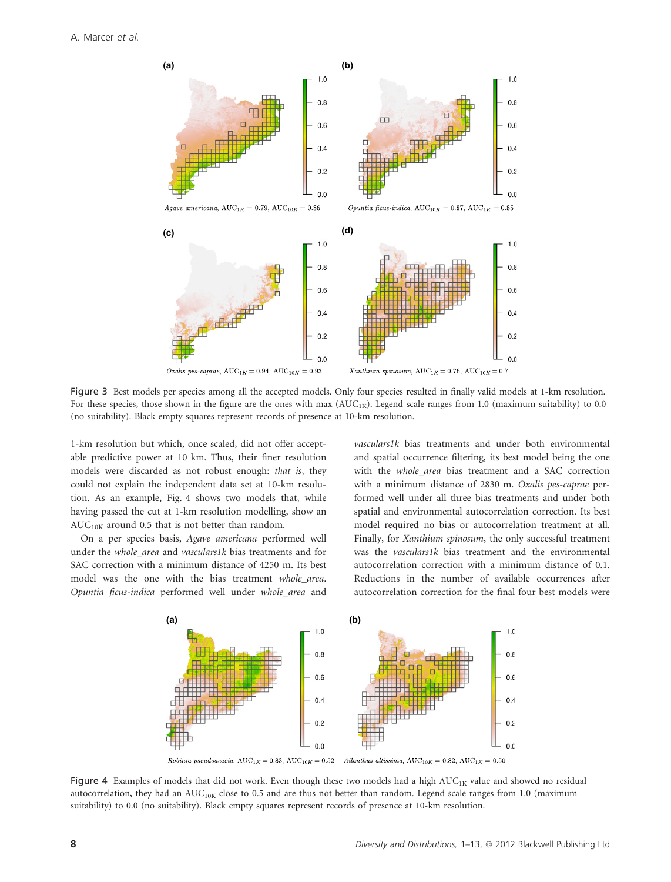

Figure 3 Best models per species among all the accepted models. Only four species resulted in finally valid models at 1-km resolution. For these species, those shown in the figure are the ones with max  $(AUC_{1K})$ . Legend scale ranges from 1.0 (maximum suitability) to 0.0 (no suitability). Black empty squares represent records of presence at 10-km resolution.

1-km resolution but which, once scaled, did not offer acceptable predictive power at 10 km. Thus, their finer resolution models were discarded as not robust enough: that is, they could not explain the independent data set at 10-km resolution. As an example, Fig. 4 shows two models that, while having passed the cut at 1-km resolution modelling, show an  $AUC_{10K}$  around 0.5 that is not better than random.

On a per species basis, Agave americana performed well under the *whole\_area* and *vasculars1k* bias treatments and for SAC correction with a minimum distance of 4250 m. Its best model was the one with the bias treatment whole\_area. Opuntia ficus-indica performed well under whole\_area and vasculars1k bias treatments and under both environmental and spatial occurrence filtering, its best model being the one with the whole area bias treatment and a SAC correction with a minimum distance of 2830 m. Oxalis pes-caprae performed well under all three bias treatments and under both spatial and environmental autocorrelation correction. Its best model required no bias or autocorrelation treatment at all. Finally, for Xanthium spinosum, the only successful treatment was the vasculars1k bias treatment and the environmental autocorrelation correction with a minimum distance of 0.1. Reductions in the number of available occurrences after autocorrelation correction for the final four best models were



Figure 4 Examples of models that did not work. Even though these two models had a high  $AUC_{1K}$  value and showed no residual autocorrelation, they had an  $AUC_{10K}$  close to 0.5 and are thus not better than random. Legend scale ranges from 1.0 (maximum

suitability) to 0.0 (no suitability). Black empty squares represent records of presence at 10-km resolution.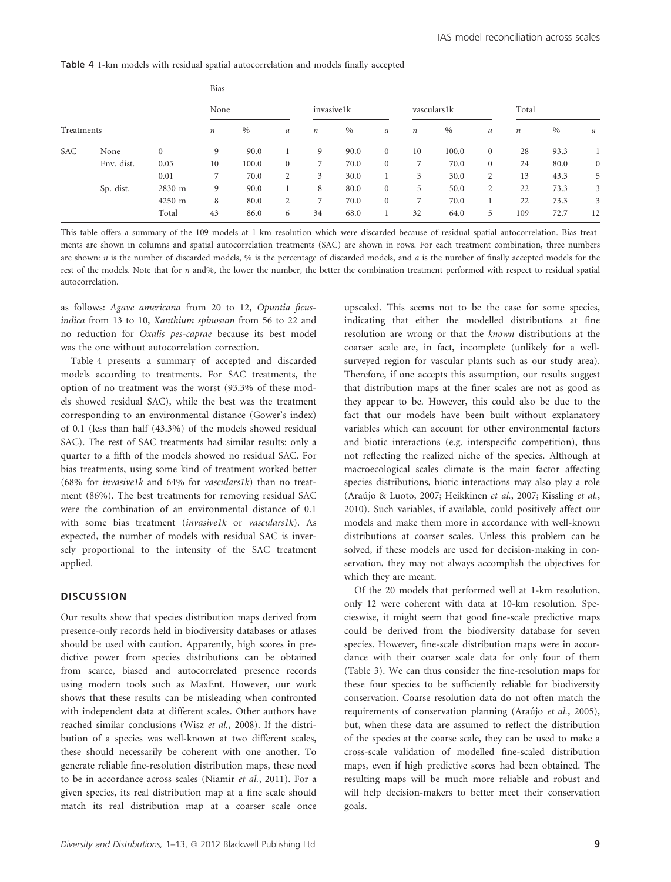|  |  |  | Table 4 1-km models with residual spatial autocorrelation and models finally accepted |  |  |
|--|--|--|---------------------------------------------------------------------------------------|--|--|
|  |  |  |                                                                                       |  |  |

|            |            |                  | <b>Bias</b> |         |                |      |                  |                |      |                  |                  |      |       |                  |  |
|------------|------------|------------------|-------------|---------|----------------|------|------------------|----------------|------|------------------|------------------|------|-------|------------------|--|
|            |            |                  |             | None    |                |      | invasive1k       |                |      | vasculars1k      |                  |      | Total |                  |  |
| Treatments |            | $\boldsymbol{n}$ | $\%$        | $\it a$ | $\it n$        | $\%$ | $\boldsymbol{a}$ | п              | $\%$ | $\boldsymbol{a}$ | $\boldsymbol{n}$ | $\%$ | a     |                  |  |
| <b>SAC</b> | None       | $\mathbf{0}$     | 9           | 90.0    |                | 9    | 90.0             | $\overline{0}$ | 10   | 100.0            | $\mathbf{0}$     | 28   | 93.3  |                  |  |
|            | Env. dist. | 0.05             | 10          | 100.0   | $\mathbf{0}$   | 7    | 70.0             | $\overline{0}$ | 7    | 70.0             | $\overline{0}$   | 24   | 80.0  | $\boldsymbol{0}$ |  |
|            |            | 0.01             | 7           | 70.0    | $\overline{2}$ | 3    | 30.0             |                | 3    | 30.0             | $\overline{2}$   | 13   | 43.3  | 5                |  |
|            | Sp. dist.  | 2830 m           | 9           | 90.0    |                | 8    | 80.0             | $\mathbf{0}$   | 5    | 50.0             | $\overline{2}$   | 22   | 73.3  | 3                |  |
|            |            | 4250 m           | 8           | 80.0    | $\overline{2}$ | 7    | 70.0             | $\mathbf{0}$   | 7    | 70.0             |                  | 22   | 73.3  | 3                |  |
|            |            | Total            | 43          | 86.0    | 6              | 34   | 68.0             |                | 32   | 64.0             | 5                | 109  | 72.7  | 12               |  |

This table offers a summary of the 109 models at 1-km resolution which were discarded because of residual spatial autocorrelation. Bias treatments are shown in columns and spatial autocorrelation treatments (SAC) are shown in rows. For each treatment combination, three numbers are shown:  $n$  is the number of discarded models, % is the percentage of discarded models, and  $a$  is the number of finally accepted models for the rest of the models. Note that for n and%, the lower the number, the better the combination treatment performed with respect to residual spatial autocorrelation.

as follows: Agave americana from 20 to 12, Opuntia ficusindica from 13 to 10, Xanthium spinosum from 56 to 22 and no reduction for Oxalis pes-caprae because its best model was the one without autocorrelation correction.

Table 4 presents a summary of accepted and discarded models according to treatments. For SAC treatments, the option of no treatment was the worst (93.3% of these models showed residual SAC), while the best was the treatment corresponding to an environmental distance (Gower's index) of 0.1 (less than half (43.3%) of the models showed residual SAC). The rest of SAC treatments had similar results: only a quarter to a fifth of the models showed no residual SAC. For bias treatments, using some kind of treatment worked better (68% for invasive1k and 64% for vasculars1k) than no treatment (86%). The best treatments for removing residual SAC were the combination of an environmental distance of 0.1 with some bias treatment (invasive1k or vasculars1k). As expected, the number of models with residual SAC is inversely proportional to the intensity of the SAC treatment applied.

#### **DISCUSSION**

Our results show that species distribution maps derived from presence-only records held in biodiversity databases or atlases should be used with caution. Apparently, high scores in predictive power from species distributions can be obtained from scarce, biased and autocorrelated presence records using modern tools such as MaxEnt. However, our work shows that these results can be misleading when confronted with independent data at different scales. Other authors have reached similar conclusions (Wisz et al., 2008). If the distribution of a species was well-known at two different scales, these should necessarily be coherent with one another. To generate reliable fine-resolution distribution maps, these need to be in accordance across scales (Niamir et al., 2011). For a given species, its real distribution map at a fine scale should match its real distribution map at a coarser scale once

upscaled. This seems not to be the case for some species, indicating that either the modelled distributions at fine resolution are wrong or that the known distributions at the coarser scale are, in fact, incomplete (unlikely for a wellsurveyed region for vascular plants such as our study area). Therefore, if one accepts this assumption, our results suggest that distribution maps at the finer scales are not as good as they appear to be. However, this could also be due to the fact that our models have been built without explanatory variables which can account for other environmental factors and biotic interactions (e.g. interspecific competition), thus not reflecting the realized niche of the species. Although at macroecological scales climate is the main factor affecting species distributions, biotic interactions may also play a role (Araújo & Luoto, 2007; Heikkinen et al., 2007; Kissling et al., 2010). Such variables, if available, could positively affect our models and make them more in accordance with well-known distributions at coarser scales. Unless this problem can be solved, if these models are used for decision-making in conservation, they may not always accomplish the objectives for which they are meant.

Of the 20 models that performed well at 1-km resolution, only 12 were coherent with data at 10-km resolution. Specieswise, it might seem that good fine-scale predictive maps could be derived from the biodiversity database for seven species. However, fine-scale distribution maps were in accordance with their coarser scale data for only four of them (Table 3). We can thus consider the fine-resolution maps for these four species to be sufficiently reliable for biodiversity conservation. Coarse resolution data do not often match the requirements of conservation planning (Araújo et al., 2005), but, when these data are assumed to reflect the distribution of the species at the coarse scale, they can be used to make a cross-scale validation of modelled fine-scaled distribution maps, even if high predictive scores had been obtained. The resulting maps will be much more reliable and robust and will help decision-makers to better meet their conservation goals.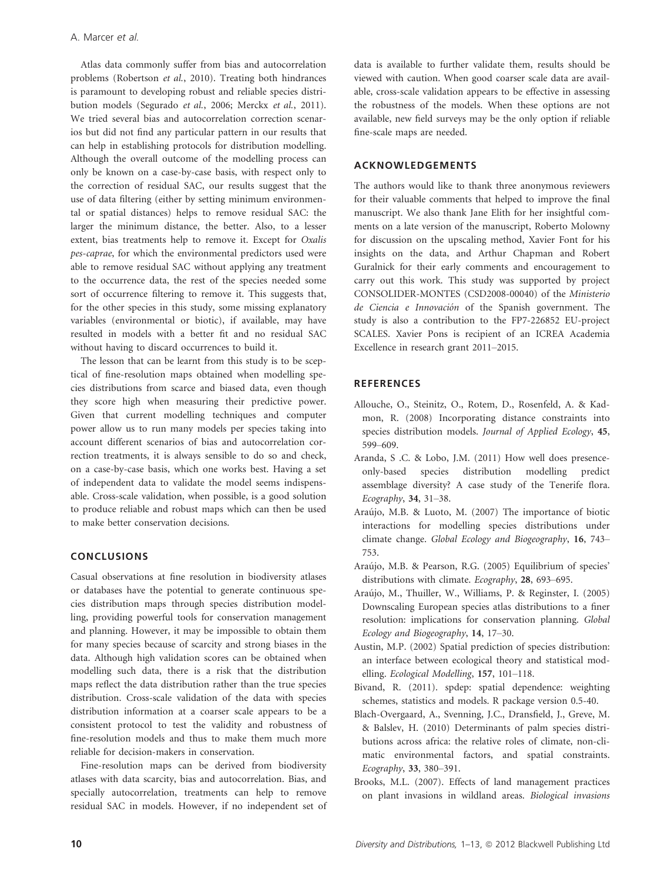Atlas data commonly suffer from bias and autocorrelation problems (Robertson et al., 2010). Treating both hindrances is paramount to developing robust and reliable species distribution models (Segurado et al., 2006; Merckx et al., 2011). We tried several bias and autocorrelation correction scenarios but did not find any particular pattern in our results that can help in establishing protocols for distribution modelling. Although the overall outcome of the modelling process can only be known on a case-by-case basis, with respect only to the correction of residual SAC, our results suggest that the use of data filtering (either by setting minimum environmental or spatial distances) helps to remove residual SAC: the larger the minimum distance, the better. Also, to a lesser extent, bias treatments help to remove it. Except for Oxalis pes-caprae, for which the environmental predictors used were able to remove residual SAC without applying any treatment to the occurrence data, the rest of the species needed some sort of occurrence filtering to remove it. This suggests that, for the other species in this study, some missing explanatory variables (environmental or biotic), if available, may have resulted in models with a better fit and no residual SAC without having to discard occurrences to build it.

The lesson that can be learnt from this study is to be sceptical of fine-resolution maps obtained when modelling species distributions from scarce and biased data, even though they score high when measuring their predictive power. Given that current modelling techniques and computer power allow us to run many models per species taking into account different scenarios of bias and autocorrelation correction treatments, it is always sensible to do so and check, on a case-by-case basis, which one works best. Having a set of independent data to validate the model seems indispensable. Cross-scale validation, when possible, is a good solution to produce reliable and robust maps which can then be used to make better conservation decisions.

# CONCLUSIONS

Casual observations at fine resolution in biodiversity atlases or databases have the potential to generate continuous species distribution maps through species distribution modelling, providing powerful tools for conservation management and planning. However, it may be impossible to obtain them for many species because of scarcity and strong biases in the data. Although high validation scores can be obtained when modelling such data, there is a risk that the distribution maps reflect the data distribution rather than the true species distribution. Cross-scale validation of the data with species distribution information at a coarser scale appears to be a consistent protocol to test the validity and robustness of fine-resolution models and thus to make them much more reliable for decision-makers in conservation.

Fine-resolution maps can be derived from biodiversity atlases with data scarcity, bias and autocorrelation. Bias, and specially autocorrelation, treatments can help to remove residual SAC in models. However, if no independent set of data is available to further validate them, results should be viewed with caution. When good coarser scale data are available, cross-scale validation appears to be effective in assessing the robustness of the models. When these options are not available, new field surveys may be the only option if reliable fine-scale maps are needed.

# ACKNOWLEDGEMENTS

The authors would like to thank three anonymous reviewers for their valuable comments that helped to improve the final manuscript. We also thank Jane Elith for her insightful comments on a late version of the manuscript, Roberto Molowny for discussion on the upscaling method, Xavier Font for his insights on the data, and Arthur Chapman and Robert Guralnick for their early comments and encouragement to carry out this work. This study was supported by project CONSOLIDER-MONTES (CSD2008-00040) of the Ministerio de Ciencia e Innovación of the Spanish government. The study is also a contribution to the FP7-226852 EU-project SCALES. Xavier Pons is recipient of an ICREA Academia Excellence in research grant 2011–2015.

## **REFERENCES**

- Allouche, O., Steinitz, O., Rotem, D., Rosenfeld, A. & Kadmon, R. (2008) Incorporating distance constraints into species distribution models. Journal of Applied Ecology, 45, 599–609.
- Aranda, S .C. & Lobo, J.M. (2011) How well does presenceonly-based species distribution modelling predict assemblage diversity? A case study of the Tenerife flora. Ecography, 34, 31–38.
- Araújo, M.B. & Luoto, M. (2007) The importance of biotic interactions for modelling species distributions under climate change. Global Ecology and Biogeography, 16, 743– 753.
- Araújo, M.B. & Pearson, R.G. (2005) Equilibrium of species' distributions with climate. Ecography, 28, 693–695.
- Araújo, M., Thuiller, W., Williams, P. & Reginster, I. (2005) Downscaling European species atlas distributions to a finer resolution: implications for conservation planning. Global Ecology and Biogeography, 14, 17–30.
- Austin, M.P. (2002) Spatial prediction of species distribution: an interface between ecological theory and statistical modelling. Ecological Modelling, 157, 101–118.
- Bivand, R. (2011). spdep: spatial dependence: weighting schemes, statistics and models. R package version 0.5-40.
- Blach-Overgaard, A., Svenning, J.C., Dransfield, J., Greve, M. & Balslev, H. (2010) Determinants of palm species distributions across africa: the relative roles of climate, non-climatic environmental factors, and spatial constraints. Ecography, 33, 380–391.
- Brooks, M.L. (2007). Effects of land management practices on plant invasions in wildland areas. Biological invasions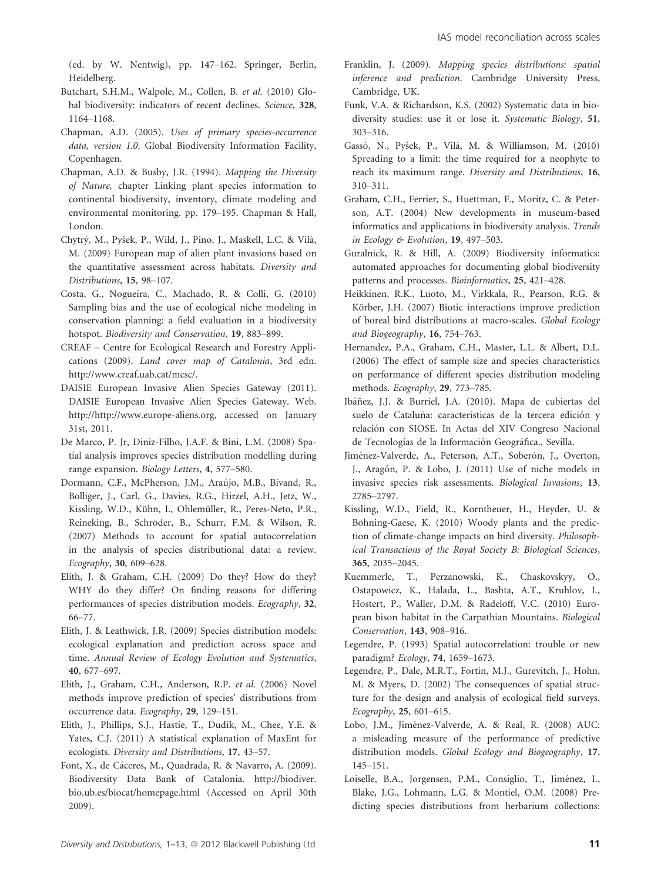(ed. by W. Nentwig), pp. 147–162. Springer, Berlin, Heidelberg.

- Butchart, S.H.M., Walpole, M., Collen, B. et al. (2010) Global biodiversity: indicators of recent declines. Science, 328, 1164–1168.
- Chapman, A.D. (2005). Uses of primary species-occurrence data, version 1.0. Global Biodiversity Information Facility, Copenhagen.
- Chapman, A.D. & Busby, J.R. (1994). Mapping the Diversity of Nature, chapter Linking plant species information to continental biodiversity, inventory, climate modeling and environmental monitoring. pp. 179–195. Chapman & Hall, London.
- Chytrý, M., Pyšek, P., Wild, J., Pino, J., Maskell, L.C. & Vilà, M. (2009) European map of alien plant invasions based on the quantitative assessment across habitats. Diversity and Distributions, 15, 98–107.
- Costa, G., Nogueira, C., Machado, R. & Colli, G. (2010) Sampling bias and the use of ecological niche modeling in conservation planning: a field evaluation in a biodiversity hotspot. Biodiversity and Conservation, 19, 883–899.
- CREAF Centre for Ecological Research and Forestry Applications (2009). Land cover map of Catalonia, 3rd edn. http://www.creaf.uab.cat/mcsc/.
- DAISIE European Invasive Alien Species Gateway (2011). DAISIE European Invasive Alien Species Gateway. Web. http://http://www.europe-aliens.org, accessed on January 31st, 2011.
- De Marco, P. Jr, Diniz-Filho, J.A.F. & Bini, L.M. (2008) Spatial analysis improves species distribution modelling during range expansion. Biology Letters, 4, 577–580.
- Dormann, C.F., McPherson, J.M., Arau´jo, M.B., Bivand, R., Bolliger, J., Carl, G., Davies, R.G., Hirzel, A.H., Jetz, W., Kissling, W.D., Kühn, I., Ohlemüller, R., Peres-Neto, P.R., Reineking, B., Schröder, B., Schurr, F.M. & Wilson, R. (2007) Methods to account for spatial autocorrelation in the analysis of species distributional data: a review. Ecography, 30, 609–628.
- Elith, J. & Graham, C.H. (2009) Do they? How do they? WHY do they differ? On finding reasons for differing performances of species distribution models. Ecography, 32, 66–77.
- Elith, J. & Leathwick, J.R. (2009) Species distribution models: ecological explanation and prediction across space and time. Annual Review of Ecology Evolution and Systematics, 40, 677–697.
- Elith, J., Graham, C.H., Anderson, R.P. et al. (2006) Novel methods improve prediction of species' distributions from occurrence data. Ecography, 29, 129–151.
- Elith, J., Phillips, S.J., Hastie, T., Dudík, M., Chee, Y.E. & Yates, C.J. (2011) A statistical explanation of MaxEnt for ecologists. Diversity and Distributions, 17, 43–57.
- Font, X., de Cáceres, M., Quadrada, R. & Navarro, A. (2009). Biodiversity Data Bank of Catalonia. http://biodiver. bio.ub.es/biocat/homepage.html (Accessed on April 30th 2009).
- Franklin, J. (2009). Mapping species distributions: spatial inference and prediction. Cambridge University Press, Cambridge, UK.
- Funk, V.A. & Richardson, K.S. (2002) Systematic data in biodiversity studies: use it or lose it. Systematic Biology, 51, 303–316.
- Gassó, N., Pyšek, P., Vilà, M. & Williamson, M. (2010) Spreading to a limit: the time required for a neophyte to reach its maximum range. Diversity and Distributions, 16, 310–311.
- Graham, C.H., Ferrier, S., Huettman, F., Moritz, C. & Peterson, A.T. (2004) New developments in museum-based informatics and applications in biodiversity analysis. Trends in Ecology & Evolution, 19, 497-503.
- Guralnick, R. & Hill, A. (2009) Biodiversity informatics: automated approaches for documenting global biodiversity patterns and processes. Bioinformatics, 25, 421–428.
- Heikkinen, R.K., Luoto, M., Virkkala, R., Pearson, R.G. & Körber, J.H. (2007) Biotic interactions improve prediction of boreal bird distributions at macro-scales. Global Ecology and Biogeography, 16, 754–763.
- Hernandez, P.A., Graham, C.H., Master, L.L. & Albert, D.L. (2006) The effect of sample size and species characteristics on performance of different species distribution modeling methods. Ecography, 29, 773–785.
- Ibáñez, J.J. & Burriel, J.A. (2010). Mapa de cubiertas del suelo de Cataluña: características de la tercera edición y relación con SIOSE. In Actas del XIV Congreso Nacional de Tecnologías de la Información Geográfica., Sevilla.
- Jiménez-Valverde, A., Peterson, A.T., Soberón, J., Overton, J., Aragón, P. & Lobo, J. (2011) Use of niche models in invasive species risk assessments. Biological Invasions, 13, 2785–2797.
- Kissling, W.D., Field, R., Korntheuer, H., Heyder, U. & Böhning-Gaese, K. (2010) Woody plants and the prediction of climate-change impacts on bird diversity. Philosophical Transactions of the Royal Society B: Biological Sciences, 365, 2035–2045.
- Kuemmerle, T., Perzanowski, K., Chaskovskyy, O., Ostapowicz, K., Halada, L., Bashta, A.T., Kruhlov, I., Hostert, P., Waller, D.M. & Radeloff, V.C. (2010) European bison habitat in the Carpathian Mountains. Biological Conservation, 143, 908–916.
- Legendre, P. (1993) Spatial autocorrelation: trouble or new paradigm? Ecology, 74, 1659–1673.
- Legendre, P., Dale, M.R.T., Fortin, M.J., Gurevitch, J., Hohn, M. & Myers, D. (2002) The consequences of spatial structure for the design and analysis of ecological field surveys. Ecography, 25, 601–615.
- Lobo, J.M., Jiménez-Valverde, A. & Real, R. (2008) AUC: a misleading measure of the performance of predictive distribution models. Global Ecology and Biogeography, 17, 145–151.
- Loiselle, B.A., Jorgensen, P.M., Consiglio, T., Jiménez, I., Blake, J.G., Lohmann, L.G. & Montiel, O.M. (2008) Predicting species distributions from herbarium collections: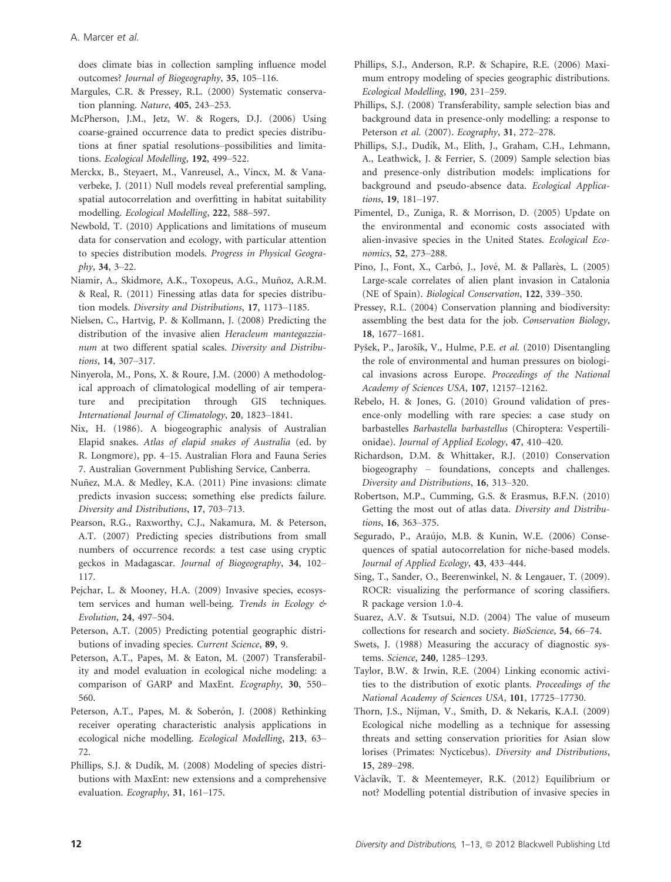does climate bias in collection sampling influence model outcomes? Journal of Biogeography, 35, 105–116.

- Margules, C.R. & Pressey, R.L. (2000) Systematic conservation planning. Nature, 405, 243–253.
- McPherson, J.M., Jetz, W. & Rogers, D.J. (2006) Using coarse-grained occurrence data to predict species distributions at finer spatial resolutions–possibilities and limitations. Ecological Modelling, 192, 499–522.
- Merckx, B., Steyaert, M., Vanreusel, A., Vincx, M. & Vanaverbeke, J. (2011) Null models reveal preferential sampling, spatial autocorrelation and overfitting in habitat suitability modelling. Ecological Modelling, 222, 588–597.
- Newbold, T. (2010) Applications and limitations of museum data for conservation and ecology, with particular attention to species distribution models. Progress in Physical Geography, 34, 3–22.
- Niamir, A., Skidmore, A.K., Toxopeus, A.G., Muñoz, A.R.M. & Real, R. (2011) Finessing atlas data for species distribution models. Diversity and Distributions, 17, 1173–1185.
- Nielsen, C., Hartvig, P. & Kollmann, J. (2008) Predicting the distribution of the invasive alien Heracleum mantegazzianum at two different spatial scales. Diversity and Distributions, 14, 307–317.
- Ninyerola, M., Pons, X. & Roure, J.M. (2000) A methodological approach of climatological modelling of air temperature and precipitation through GIS techniques. International Journal of Climatology, 20, 1823–1841.
- Nix, H. (1986). A biogeographic analysis of Australian Elapid snakes. Atlas of elapid snakes of Australia (ed. by R. Longmore), pp. 4–15. Australian Flora and Fauna Series 7. Australian Government Publishing Service, Canberra.
- Nuñez, M.A. & Medley, K.A. (2011) Pine invasions: climate predicts invasion success; something else predicts failure. Diversity and Distributions, 17, 703–713.
- Pearson, R.G., Raxworthy, C.J., Nakamura, M. & Peterson, A.T. (2007) Predicting species distributions from small numbers of occurrence records: a test case using cryptic geckos in Madagascar. Journal of Biogeography, 34, 102– 117.
- Pejchar, L. & Mooney, H.A. (2009) Invasive species, ecosystem services and human well-being. Trends in Ecology & Evolution, 24, 497–504.
- Peterson, A.T. (2005) Predicting potential geographic distributions of invading species. Current Science, 89, 9.
- Peterson, A.T., Papes, M. & Eaton, M. (2007) Transferability and model evaluation in ecological niche modeling: a comparison of GARP and MaxEnt. Ecography, 30, 550– 560.
- Peterson, A.T., Papes, M. & Soberón, J. (2008) Rethinking receiver operating characteristic analysis applications in ecological niche modelling. Ecological Modelling, 213, 63– 72.
- Phillips, S.J. & Dudík, M. (2008) Modeling of species distributions with MaxEnt: new extensions and a comprehensive evaluation. Ecography, 31, 161–175.
- Phillips, S.J., Anderson, R.P. & Schapire, R.E. (2006) Maximum entropy modeling of species geographic distributions. Ecological Modelling, 190, 231–259.
- Phillips, S.J. (2008) Transferability, sample selection bias and background data in presence-only modelling: a response to Peterson et al. (2007). Ecography, 31, 272–278.
- Phillips, S.J., Dudík, M., Elith, J., Graham, C.H., Lehmann, A., Leathwick, J. & Ferrier, S. (2009) Sample selection bias and presence-only distribution models: implications for background and pseudo-absence data. Ecological Applications, 19, 181–197.
- Pimentel, D., Zuniga, R. & Morrison, D. (2005) Update on the environmental and economic costs associated with alien-invasive species in the United States. Ecological Economics, 52, 273–288.
- Pino, J., Font, X., Carbó, J., Jové, M. & Pallarès, L. (2005) Large-scale correlates of alien plant invasion in Catalonia (NE of Spain). Biological Conservation, 122, 339–350.
- Pressey, R.L. (2004) Conservation planning and biodiversity: assembling the best data for the job. Conservation Biology, 18, 1677–1681.
- Pyšek, P., Jarošík, V., Hulme, P.E. et al. (2010) Disentangling the role of environmental and human pressures on biological invasions across Europe. Proceedings of the National Academy of Sciences USA, 107, 12157–12162.
- Rebelo, H. & Jones, G. (2010) Ground validation of presence-only modelling with rare species: a case study on barbastelles Barbastella barbastellus (Chiroptera: Vespertilionidae). Journal of Applied Ecology, 47, 410–420.
- Richardson, D.M. & Whittaker, R.J. (2010) Conservation biogeography – foundations, concepts and challenges. Diversity and Distributions, 16, 313–320.
- Robertson, M.P., Cumming, G.S. & Erasmus, B.F.N. (2010) Getting the most out of atlas data. Diversity and Distributions, 16, 363–375.
- Segurado, P., Araújo, M.B. & Kunin, W.E. (2006) Consequences of spatial autocorrelation for niche-based models. Journal of Applied Ecology, 43, 433–444.
- Sing, T., Sander, O., Beerenwinkel, N. & Lengauer, T. (2009). ROCR: visualizing the performance of scoring classifiers. R package version 1.0-4.
- Suarez, A.V. & Tsutsui, N.D. (2004) The value of museum collections for research and society. BioScience, 54, 66–74.
- Swets, J. (1988) Measuring the accuracy of diagnostic systems. Science, 240, 1285–1293.
- Taylor, B.W. & Irwin, R.E. (2004) Linking economic activities to the distribution of exotic plants. Proceedings of the National Academy of Sciences USA, 101, 17725–17730.
- Thorn, J.S., Nijman, V., Smith, D. & Nekaris, K.A.I. (2009) Ecological niche modelling as a technique for assessing threats and setting conservation priorities for Asian slow lorises (Primates: Nycticebus). Diversity and Distributions, 15, 289–298.
- Vàclavík, T. & Meentemeyer, R.K. (2012) Equilibrium or not? Modelling potential distribution of invasive species in